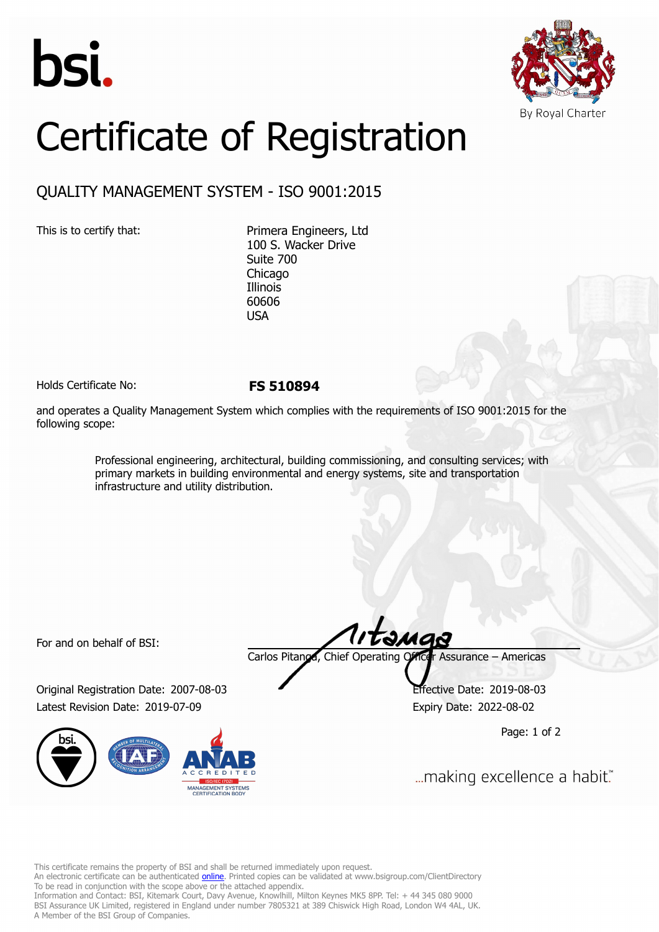



## Certificate of Registration

## QUALITY MANAGEMENT SYSTEM - ISO 9001:2015

This is to certify that: Primera Engineers, Ltd 100 S. Wacker Drive Suite 700 Chicago Illinois 60606 USA

Holds Certificate No: **FS 510894**

and operates a Quality Management System which complies with the requirements of ISO 9001:2015 for the following scope:

> Professional engineering, architectural, building commissioning, and consulting services; with primary markets in building environmental and energy systems, site and transportation infrastructure and utility distribution.

For and on behalf of BSI:

Original Registration Date: 2007-08-03 Effective Date: 2019-08-03 Latest Revision Date: 2019-07-09 Expiry Date: 2022-08-02



Carlos Pitanga, Chief Operating Officer Assurance – Americas

Page: 1 of 2

... making excellence a habit."

This certificate remains the property of BSI and shall be returned immediately upon request.

An electronic certificate can be authenticated *[online](https://pgplus.bsigroup.com/CertificateValidation/CertificateValidator.aspx?CertificateNumber=FS+510894&ReIssueDate=09%2f07%2f2019&Template=inc)*. Printed copies can be validated at www.bsigroup.com/ClientDirectory To be read in conjunction with the scope above or the attached appendix.

Information and Contact: BSI, Kitemark Court, Davy Avenue, Knowlhill, Milton Keynes MK5 8PP. Tel: + 44 345 080 9000 BSI Assurance UK Limited, registered in England under number 7805321 at 389 Chiswick High Road, London W4 4AL, UK. A Member of the BSI Group of Companies.